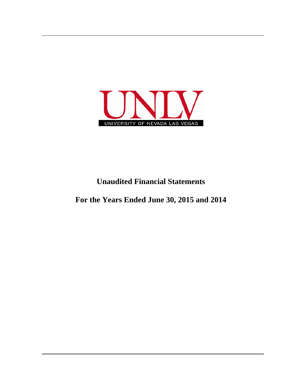

## **Unaudited Financial Statements**

**For the Years Ended June 30, 2015 and 2014**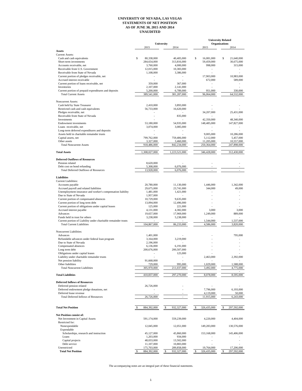## **UNIVERSITY OF NEVADA, LAS VEGAS STATEMENTS OF NET POSITION AS OF JUNE 30, 2015 AND 2014 UNAUDITED**

|                                                                               |                                       |                                       | <b>University Related</b> |                              |  |
|-------------------------------------------------------------------------------|---------------------------------------|---------------------------------------|---------------------------|------------------------------|--|
|                                                                               | 2015                                  | University<br>2014                    | 2015                      | <b>Organizations</b><br>2014 |  |
| Assets                                                                        |                                       |                                       |                           |                              |  |
| <b>Current Assets:</b>                                                        |                                       |                                       |                           |                              |  |
| Cash and cash equivalents                                                     | \$<br>80,338,000                      | 40,405,000                            | \$<br>16,081,000          | \$<br>21,640,000             |  |
| Short-term investments                                                        | 284,654,000                           | 313,816,000                           | 59,459,000                | 30,675,000                   |  |
| Accounts receivable, net                                                      | 3,760,000                             | 4,000,000                             | 998,000                   | 315,000                      |  |
| Receivable from U.S. Government                                               | 12,015,000                            | 10,383,000                            |                           |                              |  |
| Receivable from State of Nevada<br>Current portion of pledges receivable, net | 1,108,000<br>$\overline{\phantom{0}}$ | 3,386,000<br>$\overline{\phantom{a}}$ | 17,903,000                | 10,983,000                   |  |
| Accrued interest receivable                                                   |                                       |                                       | 672,000                   | 589,000                      |  |
| Current portion of loans receivable, net                                      | 359,000                               | 367,000                               |                           |                              |  |
| Inventories                                                                   | 2,107,000                             | 2,141,000                             |                           |                              |  |
| Current portion of prepaid expenditures and deposits                          | 5,200,000                             | 6,789,000                             | 951,000                   | 330,000                      |  |
| <b>Total Current Assets</b>                                                   | 389,541,000                           | 381,287,000                           | 96,064,000                | 64,532,000                   |  |
|                                                                               |                                       |                                       |                           |                              |  |
| Noncurrent Assets:                                                            |                                       |                                       |                           |                              |  |
| Cash held by State Treasurer<br>Restricted cash and cash equivalents          | 2,410,000<br>56,733,000               | 3,893,000<br>16,620,000               |                           |                              |  |
| Pledges receivable, net                                                       |                                       |                                       | 34,207,000                | 25,431,000                   |  |
| Receivable from State of Nevada                                               |                                       | 835,000                               |                           |                              |  |
| Investments                                                                   |                                       |                                       | 42,350,000                | 48,340,000                   |  |
| <b>Endowment</b> investments                                                  | 53,180,000                            | 54,935,000                            | 148,485,000               | 147,827,000                  |  |
| Loans receivable, net                                                         | 3,074,000                             | 3,085,000                             |                           |                              |  |
| Long-term deferred expenditures and deposits                                  |                                       |                                       |                           |                              |  |
| Assets held in charitable remainder trusts                                    |                                       |                                       | 9,005,000                 | 10,286,000                   |  |
| Capital assets, net                                                           | 799,762,000                           | 759,406,000                           | 5,112,000                 | 5,457,000                    |  |
| Other assets                                                                  | 3,327,000                             | 3,460,000<br>842.234,000              | 11,205,000                | 10,557,000                   |  |
| <b>Total Noncurrent Assets</b>                                                | 918,486,000                           |                                       | 250,364,000               | 247,898,000                  |  |
| <b>Total Assets</b>                                                           | 1,308,027,000                         | 1,223,521,000                         | 346,428,000               | 312,430,000                  |  |
|                                                                               |                                       |                                       |                           |                              |  |
| <b>Deferred Outflows of Resources</b>                                         |                                       |                                       |                           |                              |  |
| Pension related                                                               | 8,620,000                             |                                       |                           |                              |  |
| Debt cost on bond refunding                                                   | 5,308,000                             | 6,076,000                             |                           |                              |  |
| <b>Total Deferred Outflows of Resources</b>                                   | 13,928,000                            | 6,076,000                             | L.                        |                              |  |
|                                                                               |                                       |                                       |                           |                              |  |
| <b>Liabilities</b>                                                            |                                       |                                       |                           |                              |  |
| <b>Current Liabilities:</b><br>Accounts payable                               | 20,780,000                            | 11,130,000                            | 1,446,000                 | 1,342,000                    |  |
| Accrued payroll and related liabilities                                       | 29,675,000                            | 23,741,000                            | 344,000                   | 49,000                       |  |
| Unemployment insurance and worker's compensation liability                    | 1,481,000                             | 1,421,000                             | ÷.                        |                              |  |
| Due to State of Nevada                                                        | 1,957,000                             |                                       |                           |                              |  |
| Current portion of compensated absences                                       | 10,729,000                            | 9,635,000                             |                           |                              |  |
| Current portion of long term debt                                             | 13,094,000                            | 12,496,000                            |                           |                              |  |
| Current portion of obligations under capital leases                           | 125,000                               | 221,000                               |                           |                              |  |
| Accrued interest payable                                                      | 4,131,000                             | 4,382,000                             | 3,000                     | 3,000                        |  |
| Advances                                                                      | 19,657,000                            | 17,969,000                            | 1,249,000                 | 889,000                      |  |
| Funds held in trust for others                                                | 3,238,000                             | 5,238,000                             |                           |                              |  |
| Current portion of Liability under charitable remainder trusts                |                                       |                                       | 1,544,000                 | 1,537,000                    |  |
| <b>Total Current Liabilities</b>                                              | 104,867,000                           | 86,233,000                            | 4,586,000                 | 3,820,000                    |  |
| Noncurrent Liabilities:                                                       |                                       |                                       |                           |                              |  |
| Advances                                                                      | 1,401,000                             |                                       |                           | 795,000                      |  |
| Refundable advances under federal loan program                                | 3,164,000                             | 3,219,000                             |                           |                              |  |
| Due to State of Nevada                                                        | 2,196,000                             |                                       |                           |                              |  |
| Compensated absences                                                          | 6.136.000                             | 6,191,000                             |                           |                              |  |
| Long term debt                                                                | 200,676,000                           | 200,507,000                           |                           |                              |  |
| Obligations under capital leases                                              |                                       | 125,000                               |                           |                              |  |
| Liability under charitable remainder trusts                                   |                                       |                                       | 2,463,000                 | 2,392,000                    |  |
| Net pension liability                                                         | 91,668,000                            |                                       |                           |                              |  |
| Other liabilities                                                             | 729,000                               | 995,000                               | 1,029,000                 | 1,588,000                    |  |
| <b>Total Noncurrent Liabilities</b>                                           | 305,970,000                           | 211,037,000                           | 3,492,000                 | 4,775,000                    |  |
|                                                                               |                                       |                                       |                           |                              |  |
| <b>Total Liabilities</b>                                                      | 410,837,000                           | 297,270,000                           | 8,078,000                 | 8,595,000                    |  |
| <b>Deferred Inflows of Resources</b>                                          |                                       |                                       |                           |                              |  |
| Deferred pension related                                                      | 26,726,000                            |                                       |                           |                              |  |
| Deferred endowment pledge donations, net                                      |                                       |                                       | 7,796,000                 | 6,193,000                    |  |
| Deferred lease revenue                                                        |                                       |                                       | 4,119,000                 | 50,000                       |  |
| <b>Total Deferred Inflows of Resources</b>                                    | 26,726,000                            |                                       | 11,915,000                | 6,243,000                    |  |
|                                                                               |                                       |                                       |                           |                              |  |
|                                                                               |                                       |                                       |                           |                              |  |
| <b>Total Net Position</b>                                                     | 884,392,000                           | 932,327,000                           | 326,435,000               | \$<br>297,592,000            |  |
|                                                                               |                                       |                                       |                           |                              |  |
| <b>Net Position consist of:</b>                                               |                                       |                                       |                           |                              |  |
| Net Investment in Capital Assets                                              | 591,174,000                           | 559,239,000                           | 4,220,000                 | 4,404,000                    |  |
| Restricted for:<br>Nonexpendable                                              | 12,045,000                            | 12,051,000                            | 149,283,000               | 130,576,000                  |  |
| Expendable                                                                    |                                       |                                       |                           |                              |  |
| Scholarships, research and instruction                                        | 45,127,000                            | 45,860,000                            | 153,168,000               | 145,406,000                  |  |
| Loans                                                                         | 1,203,000                             | 934,000                               |                           |                              |  |
| Capital projects                                                              | 48,033,000                            | 13,502,000                            |                           |                              |  |
| Debt service                                                                  | 11,107,000                            | 10,883,000                            |                           |                              |  |
| Unrestricted                                                                  | 175,703,000                           | 289,858,000                           | 19,764,000                | 17,206,000                   |  |
| <b>Total Net Position</b>                                                     | 884,392,000                           | \$<br>932,327,000                     | 326,435,000<br>\$         | \$<br>297,592,000            |  |

The accompanying notes are an integral part of these financial statements.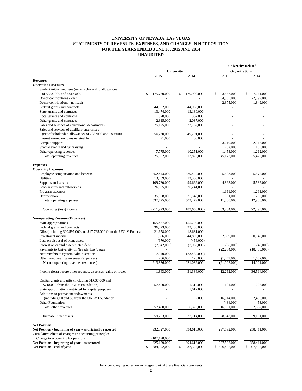## **UNIVERSITY OF NEVADA, LAS VEGAS STATEMENTS OF REVENUES, EXPENSES, AND CHANGES IN NET POSITION FOR THE YEARS ENDED JUNE 30, 2015 AND 2014 UNAUDITED**

|                                                                        |                   |                   | <b>University Related</b> |                 |  |
|------------------------------------------------------------------------|-------------------|-------------------|---------------------------|-----------------|--|
|                                                                        | University        |                   | <b>Organizations</b>      |                 |  |
|                                                                        | 2015              | 2014              | 2015                      | 2014            |  |
| <b>Revenues</b>                                                        |                   |                   |                           |                 |  |
| <b>Operating Revenues</b>                                              |                   |                   |                           |                 |  |
| Student tuition and fees (net of scholarship allowances                |                   |                   |                           |                 |  |
| of 53337000 and 48123000                                               | 175,760,000<br>\$ | 170,900,000<br>\$ | \$<br>3,567,000           | \$<br>7,261,000 |  |
| Donor contributions - cash                                             |                   |                   | 34,365,000                | 22,899,000      |  |
| Donor contributions - noncash                                          |                   |                   | 2,375,000                 | 1,849,000       |  |
| Federal grants and contracts                                           | 44,382,000        | 44,980,000        | $\blacksquare$            |                 |  |
| State grants and contracts                                             | 13,474,000        | 13,180,000        |                           |                 |  |
| Local grants and contracts                                             | 570,000           | 362,000           |                           |                 |  |
| Other grants and contracts                                             | 2,315,000         | 2,037,000         |                           |                 |  |
| Sales and services of educational departments                          | 25,175,000        | 22,762,000        |                           |                 |  |
| Sales and services of auxiliary enterprises                            |                   |                   |                           |                 |  |
| (net of scholarship allowances of 2087000 and 1896000                  | 56,260,000        | 49,291,000        |                           |                 |  |
| Interest earned on loans receivable                                    | 91,000            | 63,000            |                           |                 |  |
| Campus support                                                         |                   | ÷,                | 3,210,000                 | 2,017,000       |  |
| Special events and fundraising                                         |                   |                   | 202,000                   | 185,000         |  |
| Other operating revenues                                               | 7,775,000         | 10,251,000        | 1,453,000                 | 1,262,000       |  |
| Total operating revenues                                               | 325,802,000       | 313,826,000       | 45,172,000                | 35,473,000      |  |
|                                                                        |                   |                   |                           |                 |  |
| <b>Expenses</b>                                                        |                   |                   |                           |                 |  |
| <b>Operating Expenses</b>                                              |                   |                   |                           |                 |  |
| Employee compensation and benefits                                     | 352,443,000       | 329,429,000       | 5,503,000                 | 5,872,000       |  |
| <b>Utilities</b>                                                       | 13,409,000        | 12,300,000        | $\blacksquare$            |                 |  |
| Supplies and services                                                  | 109,780,000       | 99,669,000        | 4,893,000                 | 5,532,000       |  |
| Scholarships and fellowships                                           | 26,805,000        | 26,241,000        |                           |                 |  |
| Program expenses                                                       |                   |                   | 1,161,000                 | 1,291,000       |  |
| Depreciation                                                           | 35,338,000        | 35,840,000        | 331,000                   | 285,000         |  |
| Total operating expenses                                               | 537,775,000       | 503,479,000       | 11,888,000                | 12,980,000      |  |
|                                                                        |                   |                   |                           |                 |  |
| Operating (loss) income                                                | (211,973,000)     | (189, 653, 000)   | 33,284,000                | 22,493,000      |  |
|                                                                        |                   |                   |                           |                 |  |
| <b>Nonoperating Revenue (Expenses)</b>                                 |                   |                   |                           |                 |  |
| State appropriations                                                   | 155,477,000       | 155,792,000       |                           |                 |  |
| Federal grants and contracts                                           | 36,073,000        | 33,486,000        |                           |                 |  |
| Gifts (including \$20,597,000 and \$17,765,000 from the UNLV Foundatio | 21,658,000        | 18,631,000        |                           |                 |  |
| Investment income                                                      | 1,666,000         | 44,890,000        | 2,699,000                 | 30,948,000      |  |
| Loss on disposal of plant assets                                       | (970,000)         | (456,000)         |                           |                 |  |
| Interest on capital asset-related debt                                 | (7,342,000)       | (7,935,000)       | (38,000)                  | (46,000)        |  |
| Payments to University of Nevada, Las Vegas                            |                   |                   | (22, 234, 000)            | (18, 483, 000)  |  |
| Net transfers to System Administration                                 | 7,340,000         | (23,489,000)      | $\overline{a}$            |                 |  |
| Other nonoperating revenues (expenses)                                 | (66,000)          | 120,000           | (1,449,000)               | 1,602,000       |  |
| Net nonoperating revenues (expenses)                                   | 213,836,000       | 221,039,000       | (21.022.000)              | 14,021,000      |  |
| Income (loss) before other revenue, expenses, gains or losses          | 1,863,000         | 31,386,000        | 12,262,000                | 36,514,000      |  |
|                                                                        |                   |                   |                           |                 |  |
| Capital grants and gifts (including \$1,637,000 and                    |                   |                   |                           |                 |  |
| \$718,000 from the UNLV Foundation)                                    | 57,400,000        | 1,314,000         | 101,000                   | 208,000         |  |
| State appropriations restricted for capital purposes                   |                   | 5,012,000         |                           |                 |  |
| Additions to permanent endowments                                      |                   |                   |                           |                 |  |
| (including \$0 and \$0 from the UNLV Foundation)                       |                   | 2,000             | 16,914,000                | 2,406,000       |  |
| Other Foundation                                                       |                   |                   | (434,000)                 | 53,000          |  |
| Total other revenues                                                   | 57,400,000        | 6,328,000         | 16,581,000                | 2,667,000       |  |
| Increase in net assets                                                 | 59,263,000        | 37,714,000        | 28,843,000                | 39,181,000      |  |
|                                                                        |                   |                   |                           |                 |  |
| <b>Net Position</b>                                                    |                   |                   |                           |                 |  |
| Net Position - beginning of year - as originally reported              | 932,327,000       | 894,613,000       | 297,592,000               | 258,411,000     |  |
| Cumulative effect of changes in accounting principle:                  |                   |                   |                           |                 |  |
| Change in accounting for pensions                                      | (107, 198, 000)   |                   |                           |                 |  |
| Net Position - beginning of year - as restated                         | 825,129,000       | 894,613,000<br>\$ | 297,592,000               | 258,411,000     |  |
| Net Position - end of year                                             | 884,392,000<br>\$ | 932,327,000       | \$ 326,435,000            | \$297,592,000   |  |

The accompanying notes are an integral part of these financial statements.